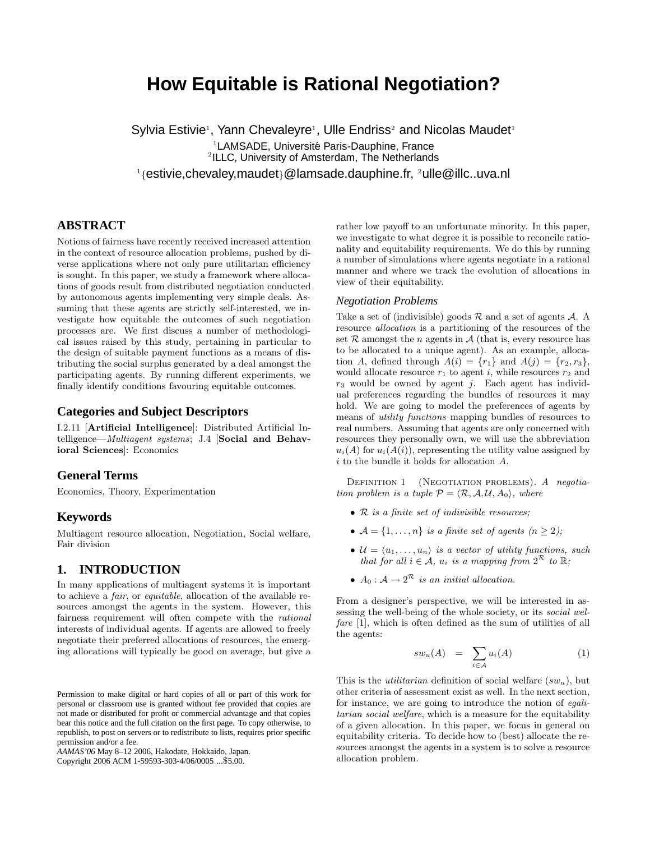# **How Equitable is Rational Negotiation?**

Sylvia Estivie<sup>1</sup>, Yann Chevaleyre<sup>1</sup>, Ulle Endriss<sup>2</sup> and Nicolas Maudet<sup>1</sup> <sup>1</sup>LAMSADE, Université Paris-Dauphine, France 2 ILLC, University of Amsterdam, The Netherlands

<sup>1</sup>{estivie,chevaley,maudet}@lamsade.dauphine.fr, 2ulle@illc..uva.nl

# **ABSTRACT**

Notions of fairness have recently received increased attention in the context of resource allocation problems, pushed by diverse applications where not only pure utilitarian efficiency is sought. In this paper, we study a framework where allocations of goods result from distributed negotiation conducted by autonomous agents implementing very simple deals. Assuming that these agents are strictly self-interested, we investigate how equitable the outcomes of such negotiation processes are. We first discuss a number of methodological issues raised by this study, pertaining in particular to the design of suitable payment functions as a means of distributing the social surplus generated by a deal amongst the participating agents. By running different experiments, we finally identify conditions favouring equitable outcomes.

## **Categories and Subject Descriptors**

I.2.11 [Artificial Intelligence]: Distributed Artificial Intelligence—Multiagent systems; J.4 [Social and Behavioral Sciences]: Economics

## **General Terms**

Economics, Theory, Experimentation

#### **Keywords**

Multiagent resource allocation, Negotiation, Social welfare, Fair division

## **1. INTRODUCTION**

In many applications of multiagent systems it is important to achieve a fair, or equitable, allocation of the available resources amongst the agents in the system. However, this fairness requirement will often compete with the rational interests of individual agents. If agents are allowed to freely negotiate their preferred allocations of resources, the emerging allocations will typically be good on average, but give a

Copyright 2006 ACM 1-59593-303-4/06/0005 ...\$5.00.

rather low payoff to an unfortunate minority. In this paper, we investigate to what degree it is possible to reconcile rationality and equitability requirements. We do this by running a number of simulations where agents negotiate in a rational manner and where we track the evolution of allocations in view of their equitability.

#### *Negotiation Problems*

Take a set of (indivisible) goods  $R$  and a set of agents  $A$ . A resource allocation is a partitioning of the resources of the set  $R$  amongst the *n* agents in  $A$  (that is, every resource has to be allocated to a unique agent). As an example, allocation A, defined through  $A(i) = \{r_1\}$  and  $A(j) = \{r_2, r_3\}$ , would allocate resource  $r_1$  to agent i, while resources  $r_2$  and  $r_3$  would be owned by agent j. Each agent has individual preferences regarding the bundles of resources it may hold. We are going to model the preferences of agents by means of utility functions mapping bundles of resources to real numbers. Assuming that agents are only concerned with resources they personally own, we will use the abbreviation  $u_i(A)$  for  $u_i(A(i))$ , representing the utility value assigned by  $i$  to the bundle it holds for allocation  ${\cal A}.$ 

DEFINITION 1 (NEGOTIATION PROBLEMS). A negotiation problem is a tuple  $P = \langle \mathcal{R}, \mathcal{A}, \mathcal{U}, A_0 \rangle$ , where

- R is a finite set of indivisible resources;
- $\mathcal{A} = \{1, \ldots, n\}$  is a finite set of agents  $(n \geq 2)$ ;
- $\mathcal{U} = \langle u_1, \ldots, u_n \rangle$  is a vector of utility functions, such that for all  $i \in \mathcal{A}$ ,  $u_i$  is a mapping from  $2^{\mathcal{R}}$  to  $\mathbb{R}$ ;
- $A_0: \mathcal{A} \to 2^{\mathcal{R}}$  is an initial allocation.

From a designer's perspective, we will be interested in assessing the well-being of the whole society, or its social welfare [1], which is often defined as the sum of utilities of all the agents:

$$
sw_u(A) = \sum_{i \in \mathcal{A}} u_i(A) \tag{1}
$$

This is the *utilitarian* definition of social welfare  $(sw_u)$ , but other criteria of assessment exist as well. In the next section, for instance, we are going to introduce the notion of egalitarian social welfare, which is a measure for the equitability of a given allocation. In this paper, we focus in general on equitability criteria. To decide how to (best) allocate the resources amongst the agents in a system is to solve a resource allocation problem.

Permission to make digital or hard copies of all or part of this work for personal or classroom use is granted without fee provided that copies are not made or distributed for profit or commercial advantage and that copies bear this notice and the full citation on the first page. To copy otherwise, to republish, to post on servers or to redistribute to lists, requires prior specific permission and/or a fee.

*AAMAS'06* May 8–12 2006, Hakodate, Hokkaido, Japan.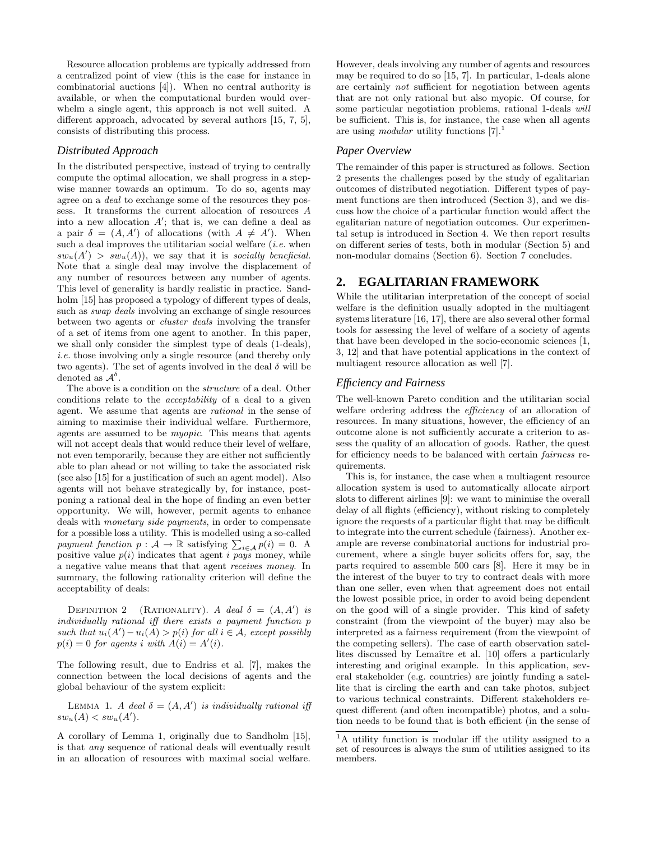Resource allocation problems are typically addressed from a centralized point of view (this is the case for instance in combinatorial auctions [4]). When no central authority is available, or when the computational burden would overwhelm a single agent, this approach is not well suited. A different approach, advocated by several authors [15, 7, 5], consists of distributing this process.

#### *Distributed Approach*

In the distributed perspective, instead of trying to centrally compute the optimal allocation, we shall progress in a stepwise manner towards an optimum. To do so, agents may agree on a deal to exchange some of the resources they possess. It transforms the current allocation of resources A into a new allocation  $A'$ ; that is, we can define a deal as a pair  $\delta = (A, A')$  of allocations (with  $A \neq A'$ ). When such a deal improves the utilitarian social welfare  $(i.e.$  when  $sw_u(A') > sw_u(A)$ , we say that it is socially beneficial. Note that a single deal may involve the displacement of any number of resources between any number of agents. This level of generality is hardly realistic in practice. Sandholm [15] has proposed a typology of different types of deals, such as swap deals involving an exchange of single resources between two agents or cluster deals involving the transfer of a set of items from one agent to another. In this paper, we shall only consider the simplest type of deals (1-deals), i.e. those involving only a single resource (and thereby only two agents). The set of agents involved in the deal  $\delta$  will be denoted as  $\mathcal{A}^{\delta}$ .

The above is a condition on the *structure* of a deal. Other conditions relate to the acceptability of a deal to a given agent. We assume that agents are rational in the sense of aiming to maximise their individual welfare. Furthermore, agents are assumed to be myopic. This means that agents will not accept deals that would reduce their level of welfare, not even temporarily, because they are either not sufficiently able to plan ahead or not willing to take the associated risk (see also [15] for a justification of such an agent model). Also agents will not behave strategically by, for instance, postponing a rational deal in the hope of finding an even better opportunity. We will, however, permit agents to enhance deals with monetary side payments, in order to compensate for a possible loss a utility. This is modelled using a so-called payment function  $p : A \to \mathbb{R}$  satisfying  $\sum_{i \in A} p(i) = 0$ . A positive value  $p(i)$  indicates that agent i pays money, while a negative value means that that agent receives money. In summary, the following rationality criterion will define the acceptability of deals:

DEFINITION 2 (RATIONALITY). A deal  $\delta = (A, A')$  is individually rational iff there exists a payment function p such that  $u_i(A') - u_i(A) > p(i)$  for all  $i \in \mathcal{A}$ , except possibly  $p(i) = 0$  for agents i with  $A(i) = A'(i)$ .

The following result, due to Endriss et al. [7], makes the connection between the local decisions of agents and the global behaviour of the system explicit:

LEMMA 1. A deal  $\delta = (A, A')$  is individually rational iff  $sw_u(A) < sw_u(A')$ .

A corollary of Lemma 1, originally due to Sandholm [15], is that any sequence of rational deals will eventually result in an allocation of resources with maximal social welfare.

However, deals involving any number of agents and resources may be required to do so [15, 7]. In particular, 1-deals alone are certainly not sufficient for negotiation between agents that are not only rational but also myopic. Of course, for some particular negotiation problems, rational 1-deals will be sufficient. This is, for instance, the case when all agents are using *modular* utility functions  $[7].^1$ 

#### *Paper Overview*

The remainder of this paper is structured as follows. Section 2 presents the challenges posed by the study of egalitarian outcomes of distributed negotiation. Different types of payment functions are then introduced (Section 3), and we discuss how the choice of a particular function would affect the egalitarian nature of negotiation outcomes. Our experimental setup is introduced in Section 4. We then report results on different series of tests, both in modular (Section 5) and non-modular domains (Section 6). Section 7 concludes.

# **2. EGALITARIAN FRAMEWORK**

While the utilitarian interpretation of the concept of social welfare is the definition usually adopted in the multiagent systems literature [16, 17], there are also several other formal tools for assessing the level of welfare of a society of agents that have been developed in the socio-economic sciences [1, 3, 12] and that have potential applications in the context of multiagent resource allocation as well [7].

#### *Efficiency and Fairness*

The well-known Pareto condition and the utilitarian social welfare ordering address the *efficiency* of an allocation of resources. In many situations, however, the efficiency of an outcome alone is not sufficiently accurate a criterion to assess the quality of an allocation of goods. Rather, the quest for efficiency needs to be balanced with certain fairness requirements.

This is, for instance, the case when a multiagent resource allocation system is used to automatically allocate airport slots to different airlines [9]: we want to minimise the overall delay of all flights (efficiency), without risking to completely ignore the requests of a particular flight that may be difficult to integrate into the current schedule (fairness). Another example are reverse combinatorial auctions for industrial procurement, where a single buyer solicits offers for, say, the parts required to assemble 500 cars [8]. Here it may be in the interest of the buyer to try to contract deals with more than one seller, even when that agreement does not entail the lowest possible price, in order to avoid being dependent on the good will of a single provider. This kind of safety constraint (from the viewpoint of the buyer) may also be interpreted as a fairness requirement (from the viewpoint of the competing sellers). The case of earth observation satellites discussed by Lemaître et al. [10] offers a particularly interesting and original example. In this application, several stakeholder (e.g. countries) are jointly funding a satellite that is circling the earth and can take photos, subject to various technical constraints. Different stakeholders request different (and often incompatible) photos, and a solution needs to be found that is both efficient (in the sense of

<sup>&</sup>lt;sup>1</sup>A utility function is modular iff the utility assigned to a set of resources is always the sum of utilities assigned to its members.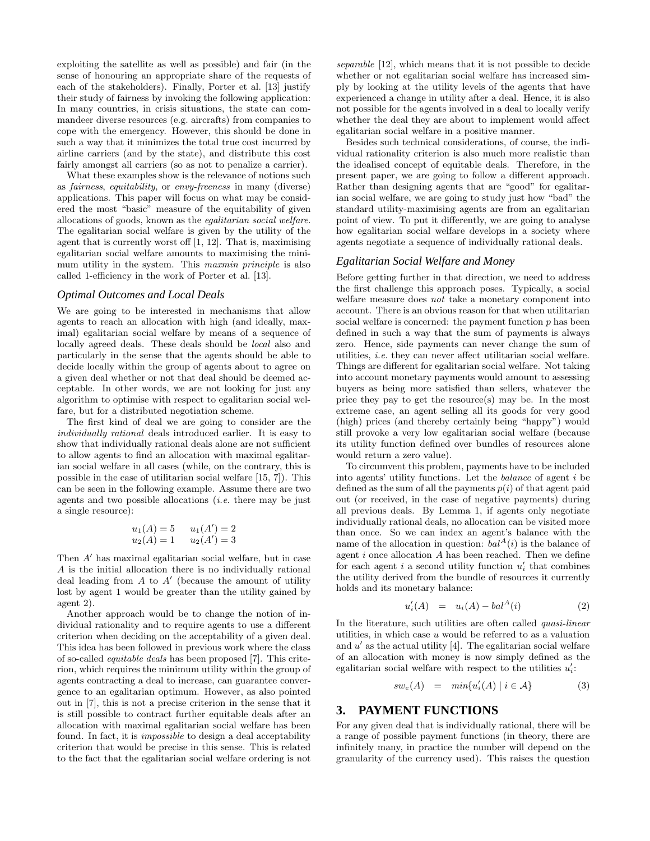exploiting the satellite as well as possible) and fair (in the sense of honouring an appropriate share of the requests of each of the stakeholders). Finally, Porter et al. [13] justify their study of fairness by invoking the following application: In many countries, in crisis situations, the state can commandeer diverse resources (e.g. aircrafts) from companies to cope with the emergency. However, this should be done in such a way that it minimizes the total true cost incurred by airline carriers (and by the state), and distribute this cost fairly amongst all carriers (so as not to penalize a carrier).

What these examples show is the relevance of notions such as fairness, equitability, or envy-freeness in many (diverse) applications. This paper will focus on what may be considered the most "basic" measure of the equitability of given allocations of goods, known as the egalitarian social welfare. The egalitarian social welfare is given by the utility of the agent that is currently worst off [1, 12]. That is, maximising egalitarian social welfare amounts to maximising the minimum utility in the system. This maxmin principle is also called 1-efficiency in the work of Porter et al. [13].

#### *Optimal Outcomes and Local Deals*

We are going to be interested in mechanisms that allow agents to reach an allocation with high (and ideally, maximal) egalitarian social welfare by means of a sequence of locally agreed deals. These deals should be local also and particularly in the sense that the agents should be able to decide locally within the group of agents about to agree on a given deal whether or not that deal should be deemed acceptable. In other words, we are not looking for just any algorithm to optimise with respect to egalitarian social welfare, but for a distributed negotiation scheme.

The first kind of deal we are going to consider are the individually rational deals introduced earlier. It is easy to show that individually rational deals alone are not sufficient to allow agents to find an allocation with maximal egalitarian social welfare in all cases (while, on the contrary, this is possible in the case of utilitarian social welfare [15, 7]). This can be seen in the following example. Assume there are two agents and two possible allocations  $(i.e.$  there may be just a single resource):

$$
u_1(A) = 5
$$
  $u_1(A') = 2$   
 $u_2(A) = 1$   $u_2(A') = 3$ 

Then  $A'$  has maximal egalitarian social welfare, but in case A is the initial allocation there is no individually rational deal leading from  $A$  to  $A'$  (because the amount of utility lost by agent 1 would be greater than the utility gained by agent 2).

Another approach would be to change the notion of individual rationality and to require agents to use a different criterion when deciding on the acceptability of a given deal. This idea has been followed in previous work where the class of so-called equitable deals has been proposed [7]. This criterion, which requires the minimum utility within the group of agents contracting a deal to increase, can guarantee convergence to an egalitarian optimum. However, as also pointed out in [7], this is not a precise criterion in the sense that it is still possible to contract further equitable deals after an allocation with maximal egalitarian social welfare has been found. In fact, it is impossible to design a deal acceptability criterion that would be precise in this sense. This is related to the fact that the egalitarian social welfare ordering is not

separable [12], which means that it is not possible to decide whether or not egalitarian social welfare has increased simply by looking at the utility levels of the agents that have experienced a change in utility after a deal. Hence, it is also not possible for the agents involved in a deal to locally verify whether the deal they are about to implement would affect egalitarian social welfare in a positive manner.

Besides such technical considerations, of course, the individual rationality criterion is also much more realistic than the idealised concept of equitable deals. Therefore, in the present paper, we are going to follow a different approach. Rather than designing agents that are "good" for egalitarian social welfare, we are going to study just how "bad" the standard utility-maximising agents are from an egalitarian point of view. To put it differently, we are going to analyse how egalitarian social welfare develops in a society where agents negotiate a sequence of individually rational deals.

#### *Egalitarian Social Welfare and Money*

Before getting further in that direction, we need to address the first challenge this approach poses. Typically, a social welfare measure does not take a monetary component into account. There is an obvious reason for that when utilitarian social welfare is concerned: the payment function  $p$  has been defined in such a way that the sum of payments is always zero. Hence, side payments can never change the sum of utilities, i.e. they can never affect utilitarian social welfare. Things are different for egalitarian social welfare. Not taking into account monetary payments would amount to assessing buyers as being more satisfied than sellers, whatever the price they pay to get the resource(s) may be. In the most extreme case, an agent selling all its goods for very good (high) prices (and thereby certainly being "happy") would still provoke a very low egalitarian social welfare (because its utility function defined over bundles of resources alone would return a zero value).

To circumvent this problem, payments have to be included into agents' utility functions. Let the balance of agent i be defined as the sum of all the payments  $p(i)$  of that agent paid out (or received, in the case of negative payments) during all previous deals. By Lemma 1, if agents only negotiate individually rational deals, no allocation can be visited more than once. So we can index an agent's balance with the name of the allocation in question:  $bal<sup>A</sup>(i)$  is the balance of agent i once allocation A has been reached. Then we define for each agent  $i$  a second utility function  $u'_i$  that combines the utility derived from the bundle of resources it currently holds and its monetary balance:

$$
u'_{i}(A) = u_{i}(A) - bal^{A}(i)
$$
 (2)

In the literature, such utilities are often called quasi-linear utilities, in which case  $u$  would be referred to as a valuation and  $u'$  as the actual utility [4]. The egalitarian social welfare of an allocation with money is now simply defined as the egalitarian social welfare with respect to the utilities  $u_i'$ :

$$
sw_e(A) = min{u'_i(A) | i \in \mathcal{A}}
$$
 (3)

## **3. PAYMENT FUNCTIONS**

For any given deal that is individually rational, there will be a range of possible payment functions (in theory, there are infinitely many, in practice the number will depend on the granularity of the currency used). This raises the question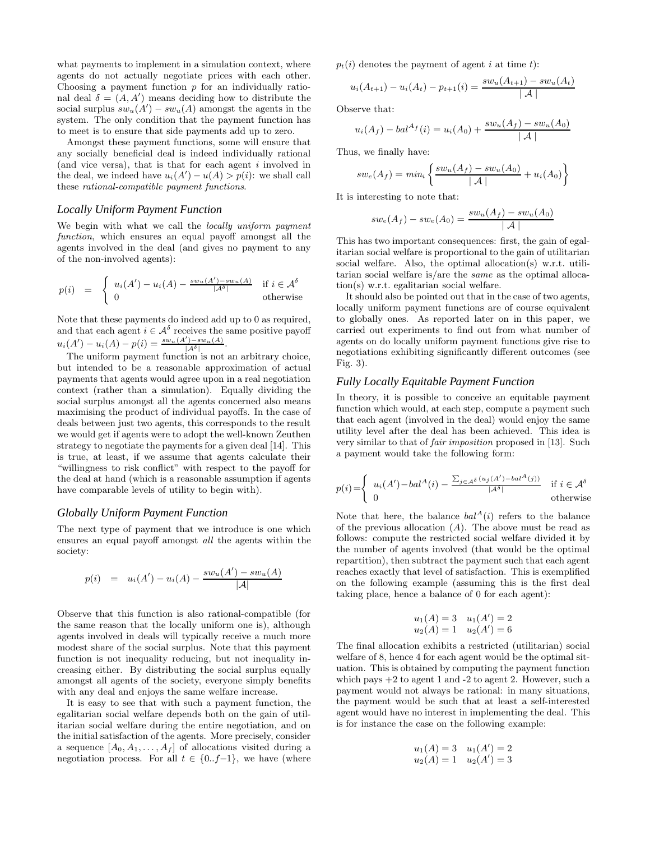what payments to implement in a simulation context, where agents do not actually negotiate prices with each other. Choosing a payment function  $p$  for an individually rational deal  $\delta = (A, A')$  means deciding how to distribute the social surplus  $sw_u(A') - sw_u(A)$  amongst the agents in the system. The only condition that the payment function has to meet is to ensure that side payments add up to zero.

Amongst these payment functions, some will ensure that any socially beneficial deal is indeed individually rational (and vice versa), that is that for each agent i involved in the deal, we indeed have  $u_i(A') - u(A) > p(i)$ : we shall call these rational-compatible payment functions.

#### *Locally Uniform Payment Function*

We begin with what we call the *locally uniform payment* function, which ensures an equal payoff amongst all the agents involved in the deal (and gives no payment to any of the non-involved agents):

$$
p(i) = \begin{cases} u_i(A') - u_i(A) - \frac{sw_u(A') - sw_u(A)}{|A^{\delta}|} & \text{if } i \in A^{\delta} \\ 0 & \text{otherwise} \end{cases}
$$

Note that these payments do indeed add up to 0 as required, and that each agent  $i \in \mathcal{A}^{\delta}$  receives the same positive payoff  $u_i(A') - u_i(A) - p(i) = \frac{sw_u(A') - sw_u(A)}{|A^{\delta}|}.$ 

The uniform payment function is not an arbitrary choice, but intended to be a reasonable approximation of actual payments that agents would agree upon in a real negotiation context (rather than a simulation). Equally dividing the social surplus amongst all the agents concerned also means maximising the product of individual payoffs. In the case of deals between just two agents, this corresponds to the result we would get if agents were to adopt the well-known Zeuthen strategy to negotiate the payments for a given deal [14]. This is true, at least, if we assume that agents calculate their "willingness to risk conflict" with respect to the payoff for the deal at hand (which is a reasonable assumption if agents have comparable levels of utility to begin with).

#### *Globally Uniform Payment Function*

The next type of payment that we introduce is one which ensures an equal payoff amongst all the agents within the society:

$$
p(i) = u_i(A') - u_i(A) - \frac{sw_u(A') - sw_u(A)}{|A|}
$$

Observe that this function is also rational-compatible (for the same reason that the locally uniform one is), although agents involved in deals will typically receive a much more modest share of the social surplus. Note that this payment function is not inequality reducing, but not inequality increasing either. By distributing the social surplus equally amongst all agents of the society, everyone simply benefits with any deal and enjoys the same welfare increase.

It is easy to see that with such a payment function, the egalitarian social welfare depends both on the gain of utilitarian social welfare during the entire negotiation, and on the initial satisfaction of the agents. More precisely, consider a sequence  $[A_0, A_1, \ldots, A_f]$  of allocations visited during a negotiation process. For all  $t \in \{0..f-1\}$ , we have (where

 $p_t(i)$  denotes the payment of agent i at time t):

$$
u_i(A_{t+1}) - u_i(A_t) - p_{t+1}(i) = \frac{sw_u(A_{t+1}) - sw_u(A_t)}{|\mathcal{A}|}
$$

Observe that:

$$
u_i(A_f) - bal^{A_f}(i) = u_i(A_0) + \frac{sw_u(A_f) - sw_u(A_0)}{|\mathcal{A}|}
$$

Thus, we finally have:

$$
sw_e(A_f) = min_i \left\{ \frac{sw_u(A_f) - sw_u(A_0)}{|\mathcal{A}|} + u_i(A_0) \right\}
$$

It is interesting to note that:

$$
sw_e(A_f) - sw_e(A_0) = \frac{sw_u(A_f) - sw_u(A_0)}{|\mathcal{A}|}
$$

This has two important consequences: first, the gain of egalitarian social welfare is proportional to the gain of utilitarian social welfare. Also, the optimal allocation(s) w.r.t. utilitarian social welfare is/are the same as the optimal allocation(s) w.r.t. egalitarian social welfare.

It should also be pointed out that in the case of two agents, locally uniform payment functions are of course equivalent to globally ones. As reported later on in this paper, we carried out experiments to find out from what number of agents on do locally uniform payment functions give rise to negotiations exhibiting significantly different outcomes (see Fig. 3).

#### *Fully Locally Equitable Payment Function*

In theory, it is possible to conceive an equitable payment function which would, at each step, compute a payment such that each agent (involved in the deal) would enjoy the same utility level after the deal has been achieved. This idea is very similar to that of fair imposition proposed in [13]. Such a payment would take the following form:

$$
p(i) = \begin{cases} u_i(A') - bal^A(i) - \frac{\sum_{j \in A^\delta} (u_j(A') - bal^A(j))}{|A^\delta|} & \text{if } i \in A^\delta \\ 0 & \text{otherwise} \end{cases}
$$

Note that here, the balance  $bal<sup>A</sup>(i)$  refers to the balance of the previous allocation  $(A)$ . The above must be read as follows: compute the restricted social welfare divided it by the number of agents involved (that would be the optimal repartition), then subtract the payment such that each agent reaches exactly that level of satisfaction. This is exemplified on the following example (assuming this is the first deal taking place, hence a balance of 0 for each agent):

$$
u_1(A) = 3
$$
  $u_1(A') = 2$   
\n $u_2(A) = 1$   $u_2(A') = 6$ 

The final allocation exhibits a restricted (utilitarian) social welfare of 8, hence 4 for each agent would be the optimal situation. This is obtained by computing the payment function which pays  $+2$  to agent 1 and  $-2$  to agent 2. However, such a payment would not always be rational: in many situations, the payment would be such that at least a self-interested agent would have no interest in implementing the deal. This is for instance the case on the following example:

$$
u_1(A) = 3 \quad u_1(A') = 2
$$
  

$$
u_2(A) = 1 \quad u_2(A') = 3
$$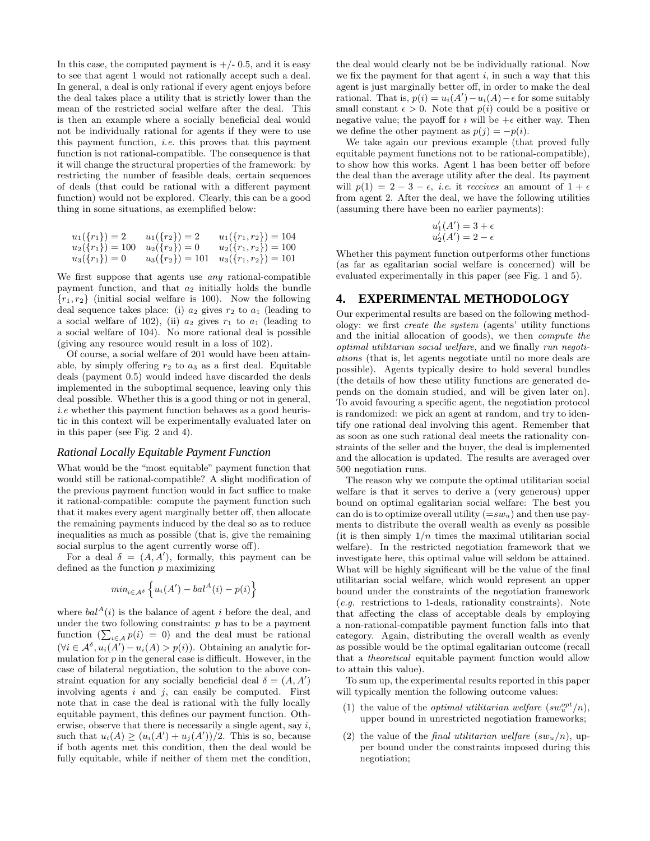In this case, the computed payment is  $+/- 0.5$ , and it is easy to see that agent 1 would not rationally accept such a deal. In general, a deal is only rational if every agent enjoys before the deal takes place a utility that is strictly lower than the mean of the restricted social welfare after the deal. This is then an example where a socially beneficial deal would not be individually rational for agents if they were to use this payment function, i.e. this proves that this payment function is not rational-compatible. The consequence is that it will change the structural properties of the framework: by restricting the number of feasible deals, certain sequences of deals (that could be rational with a different payment function) would not be explored. Clearly, this can be a good thing in some situations, as exemplified below:

$$
u_1(\lbrace r_1 \rbrace) = 2 \t u_1(\lbrace r_2 \rbrace) = 2 \t u_1(\lbrace r_1, r_2 \rbrace) = 104 u_2(\lbrace r_1 \rbrace) = 100 \t u_2(\lbrace r_2 \rbrace) = 0 \t u_2(\lbrace r_1, r_2 \rbrace) = 100 u_3(\lbrace r_1 \rbrace) = 0 \t u_3(\lbrace r_2 \rbrace) = 101 \t u_3(\lbrace r_1, r_2 \rbrace) = 101
$$

We first suppose that agents use *any* rational-compatible payment function, and that  $a_2$  initially holds the bundle  ${r_1, r_2}$  (initial social welfare is 100). Now the following deal sequence takes place: (i)  $a_2$  gives  $r_2$  to  $a_1$  (leading to a social welfare of 102), (ii)  $a_2$  gives  $r_1$  to  $a_1$  (leading to a social welfare of 104). No more rational deal is possible (giving any resource would result in a loss of 102).

Of course, a social welfare of 201 would have been attainable, by simply offering  $r_2$  to  $a_3$  as a first deal. Equitable deals (payment 0.5) would indeed have discarded the deals implemented in the suboptimal sequence, leaving only this deal possible. Whether this is a good thing or not in general, i.e whether this payment function behaves as a good heuristic in this context will be experimentally evaluated later on in this paper (see Fig. 2 and 4).

#### *Rational Locally Equitable Payment Function*

What would be the "most equitable" payment function that would still be rational-compatible? A slight modification of the previous payment function would in fact suffice to make it rational-compatible: compute the payment function such that it makes every agent marginally better off, then allocate the remaining payments induced by the deal so as to reduce inequalities as much as possible (that is, give the remaining social surplus to the agent currently worse off).

For a deal  $\delta = (A, A')$ , formally, this payment can be defined as the function  $p$  maximizing

$$
min_{i \in A^{\delta}} \left\{ u_i(A') - bal^A(i) - p(i) \right\}
$$

where  $bal<sup>A</sup>(i)$  is the balance of agent i before the deal, and under the two following constraints:  $p$  has to be a payment function  $(\sum_{i \in \mathcal{A}} p(i) = 0)$  and the deal must be rational  $(\forall i \in \mathcal{A}^{\delta}, u_i(A') - u_i(A) > p(i))$ . Obtaining an analytic formulation for  $p$  in the general case is difficult. However, in the case of bilateral negotiation, the solution to the above constraint equation for any socially beneficial deal  $\delta = (A, A)$ involving agents  $i$  and  $j$ , can easily be computed. First note that in case the deal is rational with the fully locally equitable payment, this defines our payment function. Otherwise, observe that there is necessarily a single agent, say  $i$ , such that  $u_i(A) \geq (u_i(A') + u_j(A'))/2$ . This is so, because if both agents met this condition, then the deal would be fully equitable, while if neither of them met the condition,

the deal would clearly not be be individually rational. Now we fix the payment for that agent  $i$ , in such a way that this agent is just marginally better off, in order to make the deal rational. That is,  $p(i) = u_i(A') - u_i(A) - \epsilon$  for some suitably small constant  $\epsilon > 0$ . Note that  $p(i)$  could be a positive or negative value; the payoff for i will be  $+\epsilon$  either way. Then we define the other payment as  $p(j) = -p(i)$ .

We take again our previous example (that proved fully equitable payment functions not to be rational-compatible), to show how this works. Agent 1 has been better off before the deal than the average utility after the deal. Its payment will  $p(1) = 2 - 3 - \epsilon$ , *i.e.* it receives an amount of  $1 + \epsilon$ from agent 2. After the deal, we have the following utilities (assuming there have been no earlier payments):

$$
u'_1(A') = 3 + \epsilon
$$
  

$$
u'_2(A') = 2 - \epsilon
$$

Whether this payment function outperforms other functions (as far as egalitarian social welfare is concerned) will be evaluated experimentally in this paper (see Fig. 1 and 5).

#### **4. EXPERIMENTAL METHODOLOGY**

Our experimental results are based on the following methodology: we first create the system (agents' utility functions and the initial allocation of goods), we then compute the optimal utilitarian social welfare, and we finally run negotiations (that is, let agents negotiate until no more deals are possible). Agents typically desire to hold several bundles (the details of how these utility functions are generated depends on the domain studied, and will be given later on). To avoid favouring a specific agent, the negotiation protocol is randomized: we pick an agent at random, and try to identify one rational deal involving this agent. Remember that as soon as one such rational deal meets the rationality constraints of the seller and the buyer, the deal is implemented and the allocation is updated. The results are averaged over 500 negotiation runs.

The reason why we compute the optimal utilitarian social welfare is that it serves to derive a (very generous) upper bound on optimal egalitarian social welfare: The best you can do is to optimize overall utility  $(=sw_u)$  and then use payments to distribute the overall wealth as evenly as possible (it is then simply  $1/n$  times the maximal utilitarian social welfare). In the restricted negotiation framework that we investigate here, this optimal value will seldom be attained. What will be highly significant will be the value of the final utilitarian social welfare, which would represent an upper bound under the constraints of the negotiation framework (e.g. restrictions to 1-deals, rationality constraints). Note that affecting the class of acceptable deals by employing a non-rational-compatible payment function falls into that category. Again, distributing the overall wealth as evenly as possible would be the optimal egalitarian outcome (recall that a theoretical equitable payment function would allow to attain this value).

To sum up, the experimental results reported in this paper will typically mention the following outcome values:

- (1) the value of the *optimal utilitarian welfare*  $(sw_u^{opt}/n)$ , upper bound in unrestricted negotiation frameworks;
- (2) the value of the *final utilitarian welfare*  $(sw<sub>u</sub>/n)$ , upper bound under the constraints imposed during this negotiation;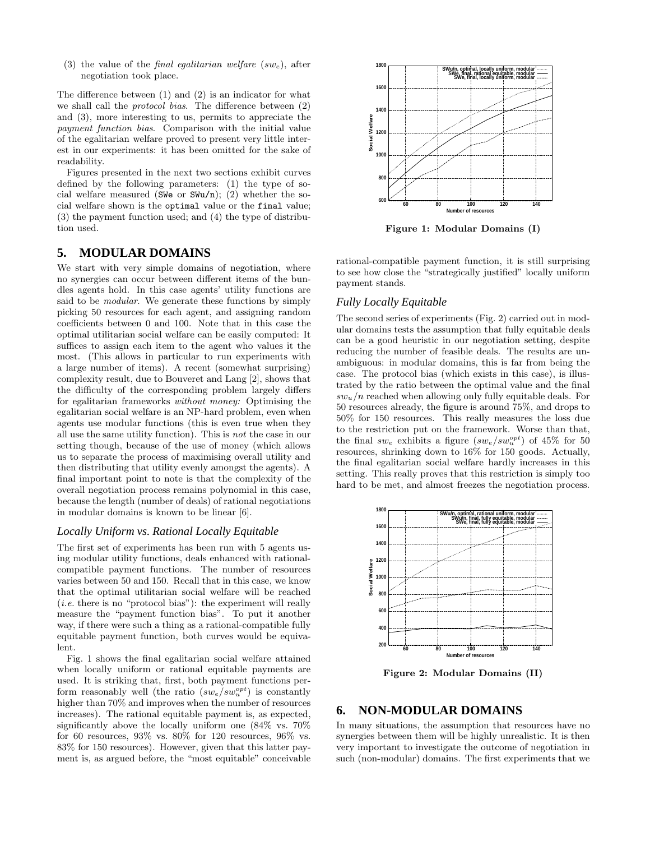(3) the value of the *final egalitarian welfare*  $(sw_e)$ , after negotiation took place.

The difference between (1) and (2) is an indicator for what we shall call the protocol bias. The difference between (2) and (3), more interesting to us, permits to appreciate the payment function bias. Comparison with the initial value of the egalitarian welfare proved to present very little interest in our experiments: it has been omitted for the sake of readability.

Figures presented in the next two sections exhibit curves defined by the following parameters: (1) the type of social welfare measured (SWe or SWu/n); (2) whether the social welfare shown is the optimal value or the final value; (3) the payment function used; and (4) the type of distribution used.

#### **5. MODULAR DOMAINS**

We start with very simple domains of negotiation, where no synergies can occur between different items of the bundles agents hold. In this case agents' utility functions are said to be *modular*. We generate these functions by simply picking 50 resources for each agent, and assigning random coefficients between 0 and 100. Note that in this case the optimal utilitarian social welfare can be easily computed: It suffices to assign each item to the agent who values it the most. (This allows in particular to run experiments with a large number of items). A recent (somewhat surprising) complexity result, due to Bouveret and Lang [2], shows that the difficulty of the corresponding problem largely differs for egalitarian frameworks without money: Optimising the egalitarian social welfare is an NP-hard problem, even when agents use modular functions (this is even true when they all use the same utility function). This is not the case in our setting though, because of the use of money (which allows us to separate the process of maximising overall utility and then distributing that utility evenly amongst the agents). A final important point to note is that the complexity of the overall negotiation process remains polynomial in this case, because the length (number of deals) of rational negotiations in modular domains is known to be linear [6].

#### *Locally Uniform vs. Rational Locally Equitable*

The first set of experiments has been run with 5 agents using modular utility functions, deals enhanced with rationalcompatible payment functions. The number of resources varies between 50 and 150. Recall that in this case, we know that the optimal utilitarian social welfare will be reached  $(i.e.$  there is no "protocol bias"): the experiment will really measure the "payment function bias". To put it another way, if there were such a thing as a rational-compatible fully equitable payment function, both curves would be equivalent.

Fig. 1 shows the final egalitarian social welfare attained when locally uniform or rational equitable payments are used. It is striking that, first, both payment functions perform reasonably well (the ratio  $(sw_e/sw_u^{opt})$  is constantly higher than  $70\%$  and improves when the number of resources increases). The rational equitable payment is, as expected, significantly above the locally uniform one (84% vs. 70% for 60 resources, 93% vs. 80% for 120 resources, 96% vs. 83% for 150 resources). However, given that this latter payment is, as argued before, the "most equitable" conceivable



Figure 1: Modular Domains (I)

rational-compatible payment function, it is still surprising to see how close the "strategically justified" locally uniform payment stands.

#### *Fully Locally Equitable*

The second series of experiments (Fig. 2) carried out in modular domains tests the assumption that fully equitable deals can be a good heuristic in our negotiation setting, despite reducing the number of feasible deals. The results are unambiguous: in modular domains, this is far from being the case. The protocol bias (which exists in this case), is illustrated by the ratio between the optimal value and the final  $sw_u/n$  reached when allowing only fully equitable deals. For 50 resources already, the figure is around 75%, and drops to 50% for 150 resources. This really measures the loss due to the restriction put on the framework. Worse than that, the final  $sw_e$  exhibits a figure  $(sw_e/sw_u^{opt})$  of 45% for 50 resources, shrinking down to 16% for 150 goods. Actually, the final egalitarian social welfare hardly increases in this setting. This really proves that this restriction is simply too hard to be met, and almost freezes the negotiation process.



Figure 2: Modular Domains (II)

## **6. NON-MODULAR DOMAINS**

In many situations, the assumption that resources have no synergies between them will be highly unrealistic. It is then very important to investigate the outcome of negotiation in such (non-modular) domains. The first experiments that we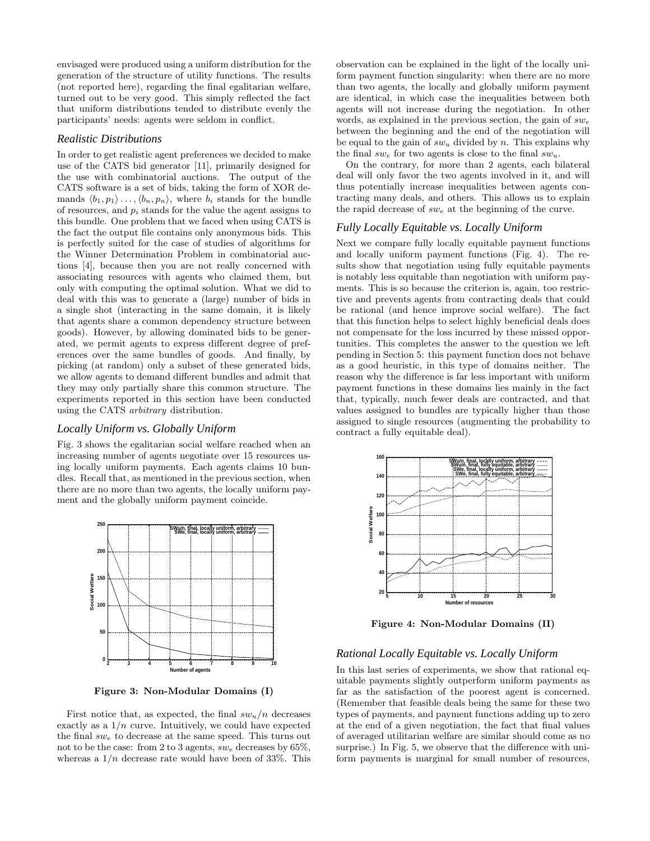envisaged were produced using a uniform distribution for the generation of the structure of utility functions. The results (not reported here), regarding the final egalitarian welfare, turned out to be very good. This simply reflected the fact that uniform distributions tended to distribute evenly the participants' needs: agents were seldom in conflict.

#### *Realistic Distributions*

In order to get realistic agent preferences we decided to make use of the CATS bid generator [11], primarily designed for the use with combinatorial auctions. The output of the CATS software is a set of bids, taking the form of XOR demands  $\langle b_1, p_1 \rangle \ldots, \langle b_n, p_n \rangle$ , where  $b_i$  stands for the bundle of resources, and  $p_i$  stands for the value the agent assigns to this bundle. One problem that we faced when using CATS is the fact the output file contains only anonymous bids. This is perfectly suited for the case of studies of algorithms for the Winner Determination Problem in combinatorial auctions [4], because then you are not really concerned with associating resources with agents who claimed them, but only with computing the optimal solution. What we did to deal with this was to generate a (large) number of bids in a single shot (interacting in the same domain, it is likely that agents share a common dependency structure between goods). However, by allowing dominated bids to be generated, we permit agents to express different degree of preferences over the same bundles of goods. And finally, by picking (at random) only a subset of these generated bids, we allow agents to demand different bundles and admit that they may only partially share this common structure. The experiments reported in this section have been conducted using the CATS arbitrary distribution.

#### *Locally Uniform vs. Globally Uniform*

Fig. 3 shows the egalitarian social welfare reached when an increasing number of agents negotiate over 15 resources using locally uniform payments. Each agents claims 10 bundles. Recall that, as mentioned in the previous section, when there are no more than two agents, the locally uniform payment and the globally uniform payment coincide.



Figure 3: Non-Modular Domains (I)

First notice that, as expected, the final  $sw_u/n$  decreases exactly as a  $1/n$  curve. Intuitively, we could have expected the final  $sw_e$  to decrease at the same speed. This turns out not to be the case: from 2 to 3 agents,  $sw_e$  decreases by 65%, whereas a  $1/n$  decrease rate would have been of 33%. This observation can be explained in the light of the locally uniform payment function singularity: when there are no more than two agents, the locally and globally uniform payment are identical, in which case the inequalities between both agents will not increase during the negotiation. In other words, as explained in the previous section, the gain of  $sw_e$ between the beginning and the end of the negotiation will be equal to the gain of  $sw_u$  divided by n. This explains why the final  $sw_e$  for two agents is close to the final  $sw_u$ .

On the contrary, for more than 2 agents, each bilateral deal will only favor the two agents involved in it, and will thus potentially increase inequalities between agents contracting many deals, and others. This allows us to explain the rapid decrease of  $sw_e$  at the beginning of the curve.

#### *Fully Locally Equitable vs. Locally Uniform*

Next we compare fully locally equitable payment functions and locally uniform payment functions (Fig. 4). The results show that negotiation using fully equitable payments is notably less equitable than negotiation with uniform payments. This is so because the criterion is, again, too restrictive and prevents agents from contracting deals that could be rational (and hence improve social welfare). The fact that this function helps to select highly beneficial deals does not compensate for the loss incurred by these missed opportunities. This completes the answer to the question we left pending in Section 5: this payment function does not behave as a good heuristic, in this type of domains neither. The reason why the difference is far less important with uniform payment functions in these domains lies mainly in the fact that, typically, much fewer deals are contracted, and that values assigned to bundles are typically higher than those assigned to single resources (augmenting the probability to contract a fully equitable deal).



Figure 4: Non-Modular Domains (II)

## *Rational Locally Equitable vs. Locally Uniform*

In this last series of experiments, we show that rational equitable payments slightly outperform uniform payments as far as the satisfaction of the poorest agent is concerned. (Remember that feasible deals being the same for these two types of payments, and payment functions adding up to zero at the end of a given negotiation, the fact that final values of averaged utilitarian welfare are similar should come as no surprise.) In Fig. 5, we observe that the difference with uniform payments is marginal for small number of resources,